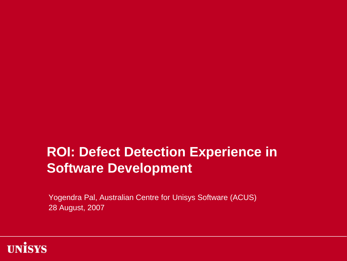### **ROI: Defect Detection Experience in Software Development**

Yogendra Pal, Australian Centre for Unisys Software (ACUS) 28 August, 2007

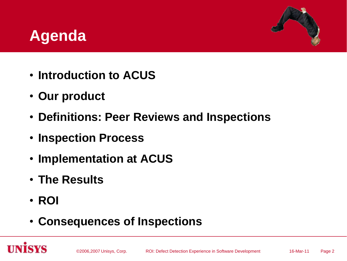### **Agenda**



- **Introduction to ACUS**
- **Our product**
- **Definitions: Peer Reviews and Inspections**
- **Inspection Process**
- **Implementation at ACUS**
- **The Results**
- **ROI**
- **Consequences of Inspections**

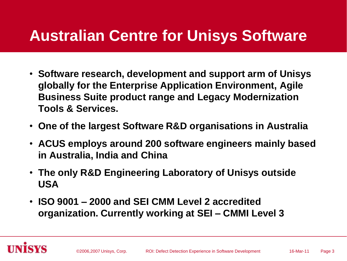### **Australian Centre for Unisys Software**

- **Software research, development and support arm of Unisys globally for the Enterprise Application Environment, Agile Business Suite product range and Legacy Modernization Tools & Services.**
- **One of the largest Software R&D organisations in Australia**
- **ACUS employs around 200 software engineers mainly based in Australia, India and China**
- **The only R&D Engineering Laboratory of Unisys outside USA**
- **ISO 9001 – 2000 and SEI CMM Level 2 accredited organization. Currently working at SEI – CMMI Level 3**

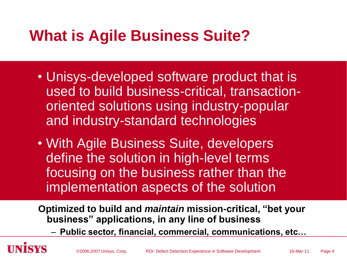## **What is Agile Business Suite?**

- Unisys-developed software product that is used to build business-critical, transactionoriented solutions using industry-popular and industry-standard technologies
- With Agile Business Suite, developers define the solution in high-level terms focusing on the business rather than the implementation aspects of the solution

**Optimized to build and** *maintain* **mission-critical, "bet your business" applications, in any line of business**

– **Public sector, financial, commercial, communications, etc…**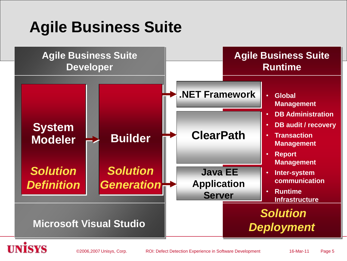# **Agile Business Suite**

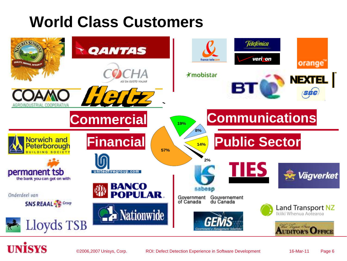## **World Class Customers**

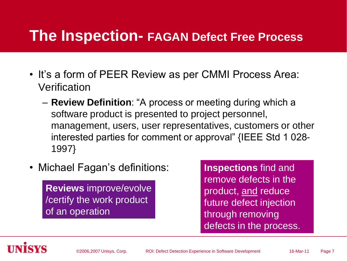### **The Inspection- FAGAN Defect Free Process**

- It's a form of PEER Review as per CMMI Process Area: Verification
	- **Review Definition**: "A process or meeting during which a software product is presented to project personnel, management, users, user representatives, customers or other interested parties for comment or approval" {IEEE Std 1 028- 1997}
- Michael Fagan's definitions:

**Reviews** improve/evolve /certify the work product of an operation

**Inspections** find and remove defects in the product, and reduce future defect injection through removing defects in the process.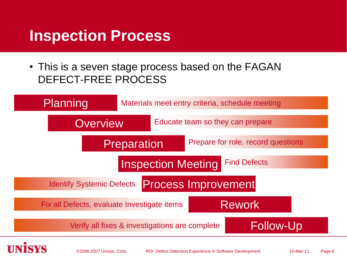### **Inspection Process**

• This is a seven stage process based on the FAGAN DEFECT-FREE PROCESS

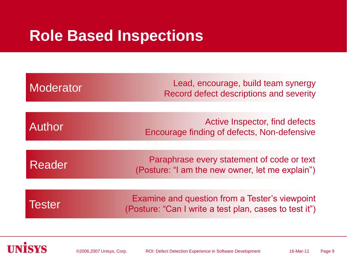### **Role Based Inspections**

| Moderator     | Lead, encourage, build team synergy<br>Record defect descriptions and severity                           |
|---------------|----------------------------------------------------------------------------------------------------------|
| <b>Author</b> | Active Inspector, find defects                                                                           |
|               | Encourage finding of defects, Non-defensive<br>Paraphrase every statement of code or text                |
| Reader        | (Posture: "I am the new owner, let me explain")                                                          |
| <b>Tester</b> | Examine and question from a Tester's viewpoint<br>(Posture: "Can I write a test plan, cases to test it") |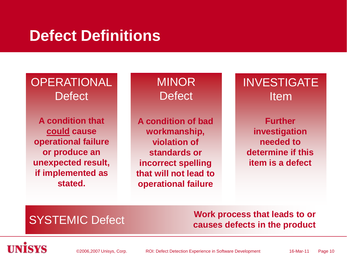### **Defect Definitions**

### **OPERATIONAL Defect**

**A condition that could cause operational failure or produce an unexpected result, if implemented as stated.**

**MINOR Defect** 

**A condition of bad workmanship, violation of standards or incorrect spelling that will not lead to operational failure**

INVESTIGATE Item

**Further investigation needed to determine if this item is a defect**

### SYSTEMIC Defect **Work process that leads to or causes defects in the product**

©2006,2007 Unisys, Corp. The ROI: Defect Detection Experience in Software Development 16-Mar-11 Page 10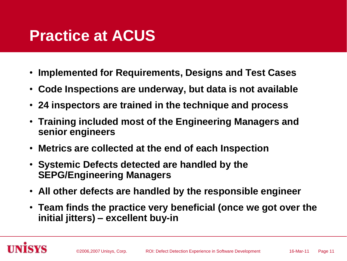### **Practice at ACUS**

- **Implemented for Requirements, Designs and Test Cases**
- **Code Inspections are underway, but data is not available**
- **24 inspectors are trained in the technique and process**
- **Training included most of the Engineering Managers and senior engineers**
- **Metrics are collected at the end of each Inspection**
- **Systemic Defects detected are handled by the SEPG/Engineering Managers**
- **All other defects are handled by the responsible engineer**
- **Team finds the practice very beneficial (once we got over the initial jitters) – excellent buy-in**

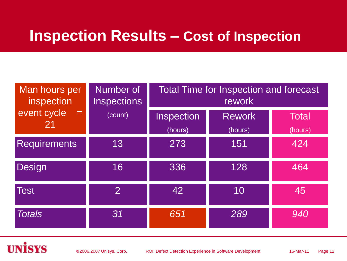### **Inspection Results – Cost of Inspection**

| Man hours per<br>inspection             | Number of<br><b>Inspections</b> | <b>Total Time for Inspection and forecast</b><br>rework |                          |                  |  |
|-----------------------------------------|---------------------------------|---------------------------------------------------------|--------------------------|------------------|--|
| event cycle<br>$=$ $\overline{ }$<br>21 | (count)                         | Inspection<br>(hours)                                   | <b>Rework</b><br>(hours) | Total<br>(hours) |  |
| <b>Requirements</b>                     | 13                              | 273                                                     | 151                      | 424              |  |
| Design                                  | 16                              | 336                                                     | 128                      | 464              |  |
| <b>Test</b>                             | $\overline{2}$                  | 42                                                      | 10                       | 45               |  |
| <b>Totals</b>                           | 31                              | 651                                                     | 289                      | 940              |  |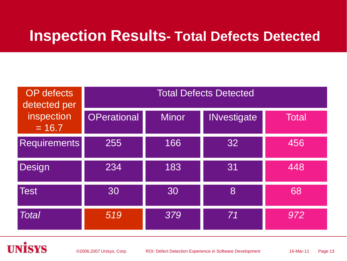### **Inspection Results- Total Defects Detected**

| <b>OP</b> defects<br>detected per<br>inspection<br>$= 16.7$ | <b>Total Defects Detected</b> |              |                    |       |
|-------------------------------------------------------------|-------------------------------|--------------|--------------------|-------|
|                                                             | <b>OPerational</b>            | <b>Minor</b> | <b>INvestigate</b> | Total |
| <b>Requirements</b>                                         | 255                           | 166          | 32                 | 456   |
| Design                                                      | 234                           | 183          | 31                 | 448   |
| <b>Test</b>                                                 | 30                            | 30           | 8                  | 68    |
| <b>Total</b>                                                | 519                           | 379          | 71                 | 972   |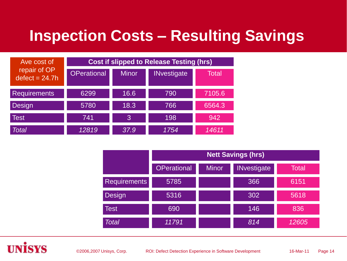### **Inspection Costs – Resulting Savings**

| Ave cost of                      | <b>Cost if slipped to Release Testing (hrs)</b> |              |                    |        |
|----------------------------------|-------------------------------------------------|--------------|--------------------|--------|
| repair of OP<br>$defect = 24.7h$ | <b>OPerational</b>                              | <b>Minor</b> | <b>INvestigate</b> | Total  |
| <b>Requirements</b>              | 6299                                            | 16.6         | 790                | 7105.6 |
| Design                           | 5780                                            | 18.3         | 766                | 6564.3 |
| <b>Test</b>                      | 741                                             | 3            | 198                | 942    |
| <b>Total</b>                     | 12819                                           | 37.9         | 1754               | 14611  |

|                     | <b>Nett Savings (hrs)</b> |              |                    |              |
|---------------------|---------------------------|--------------|--------------------|--------------|
|                     | <b>OPerational</b>        | <b>Minor</b> | <b>INvestigate</b> | <b>Total</b> |
| <b>Requirements</b> | 5785                      |              | 366                | 6151         |
| Design              | 5316                      |              | 302                | 5618         |
| <b>Test</b>         | 690                       |              | 146                | 836          |
| Total               | 11791                     |              | 814                | 12605        |

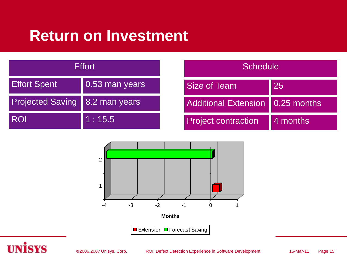### **Return on Investment**

| <b>Effort</b>                    |                        | <b>Schedule</b>                  |          |
|----------------------------------|------------------------|----------------------------------|----------|
| <b>Effort Spent</b>              | $\vert$ 0.53 man years | <b>Size of Team</b>              | 25       |
| Projected Saving   8.2 man years |                        | Additional Extension 0.25 months |          |
| <b>ROI</b>                       | 1:15.5                 | <b>Project contraction</b>       | 4 months |



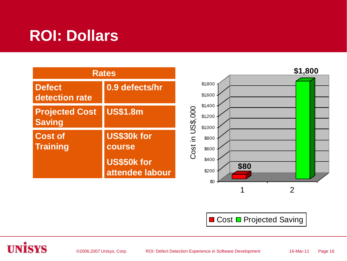# **ROI: Dollars**

| <b>Rates</b>                           |                                |                                           | \$1,800 |
|----------------------------------------|--------------------------------|-------------------------------------------|---------|
| <b>Defect</b><br>detection rate        | 0.9 defects/hr                 | \$1,800<br>\$1,600                        |         |
| <b>Projected Cost</b><br><b>Saving</b> | <b>US\$1.8m</b>                | \$1,400<br>US\$,000<br>\$1,200<br>\$1,000 |         |
| <b>Cost of</b><br><b>Training</b>      | US\$30k for<br>course          | $\Xi$ .<br>\$800<br>Cost<br>\$600         |         |
|                                        | US\$50k for<br>attendee labour | \$400<br>\$80<br>\$200<br>\$0             |         |
|                                        |                                |                                           |         |

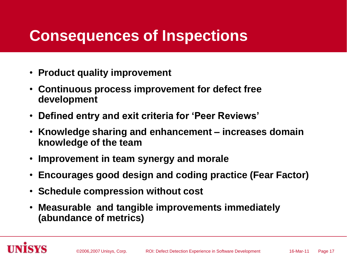### **Consequences of Inspections**

- **Product quality improvement**
- **Continuous process improvement for defect free development**
- **Defined entry and exit criteria for "Peer Reviews"**
- **Knowledge sharing and enhancement – increases domain knowledge of the team**
- **Improvement in team synergy and morale**
- **Encourages good design and coding practice (Fear Factor)**
- **Schedule compression without cost**
- **Measurable and tangible improvements immediately (abundance of metrics)**